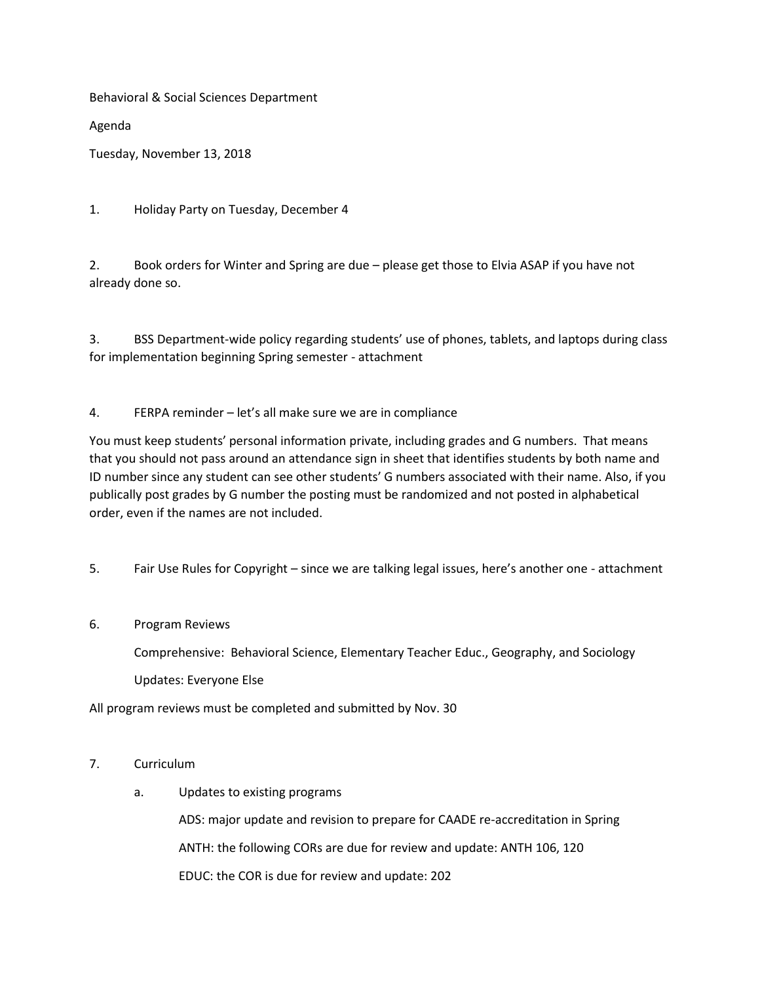Behavioral & Social Sciences Department

Agenda

Tuesday, November 13, 2018

1. Holiday Party on Tuesday, December 4

2. Book orders for Winter and Spring are due – please get those to Elvia ASAP if you have not already done so.

3. BSS Department-wide policy regarding students' use of phones, tablets, and laptops during class for implementation beginning Spring semester - attachment

4. FERPA reminder – let's all make sure we are in compliance

You must keep students' personal information private, including grades and G numbers. That means that you should not pass around an attendance sign in sheet that identifies students by both name and ID number since any student can see other students' G numbers associated with their name. Also, if you publically post grades by G number the posting must be randomized and not posted in alphabetical order, even if the names are not included.

5. Fair Use Rules for Copyright – since we are talking legal issues, here's another one - attachment

## 6. Program Reviews

Comprehensive: Behavioral Science, Elementary Teacher Educ., Geography, and Sociology

Updates: Everyone Else

All program reviews must be completed and submitted by Nov. 30

## 7. Curriculum

a. Updates to existing programs

ADS: major update and revision to prepare for CAADE re-accreditation in Spring ANTH: the following CORs are due for review and update: ANTH 106, 120 EDUC: the COR is due for review and update: 202